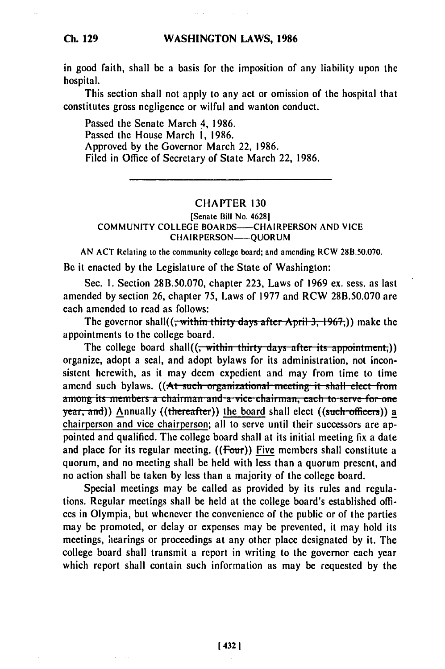## **WASHINGTON LAWS, 1986**

in good faith, shall be a basis for the imposition of any liability upon the hospital.

This section shall not apply to any act or omission of the hospital that constitutes gross negligence or wilful and wanton conduct.

Passed the Senate March 4, 1986. Passed the House March **1,** 1986. Approved by the Governor March 22, 1986. Filed in Office of Secretary of State March 22, 1986.

## CHAPTER 130

## [Senate Bill No. 4628] COMMUNITY COLLEGE BOARDS——CHAIRPERSON AND VICE CHAIRPERSON-OUORUM

AN ACT Relating to the community college board; and amending RCW 28B.50.070.

Be it enacted by the Legislature of the State of Washington:

Sec. **1.** Section 28B.50.070, chapter 223, Laws of 1969 ex. sess. as last amended by section 26, chapter 75, Laws of 1977 and RCW 28B.50.070 are each amended to read as follows:

The governor shall((<del>, within thirty days after April 3, 1967,</del>)) make the appointments to the college board.

The college board shall((<del>, within thirty days after its appointment,</del>)) organize, adopt a seal, and adopt bylaws for its administration, not inconsistent herewith, as it may deem expedient and may from time to time amend such bylaws. ((At such organizational meeting it shall elect fro **among its members a chairman and a vice chairman, each to serve for one** year, and)) Annually ((thereafter)) the board shall elect ((such officers)) a chairperson and vice chairperson; all to serve until their successors are appointed and qualified. The college board shall at its initial meeting fix a date and place for its regular meeting.  $((Four))$  Five members shall constitute a quorum, and no meeting shall be held with less than a quorum present, and no action shall be taken **by** less than a majority of the college board.

Special meetings may be called as provided by its rules and regulations. Regular meetings shall be **held** at the college board's established offices in Olympia, but whenever the convenience of the public or of the parties may be promoted, or delay or expenses may be prevented, it may hold its meetings, hearings or proceedings at any other place designated **by** it. The college board shall transmit a report in writing to the governor each year which report shall contain such information as may **be** requested **by** the